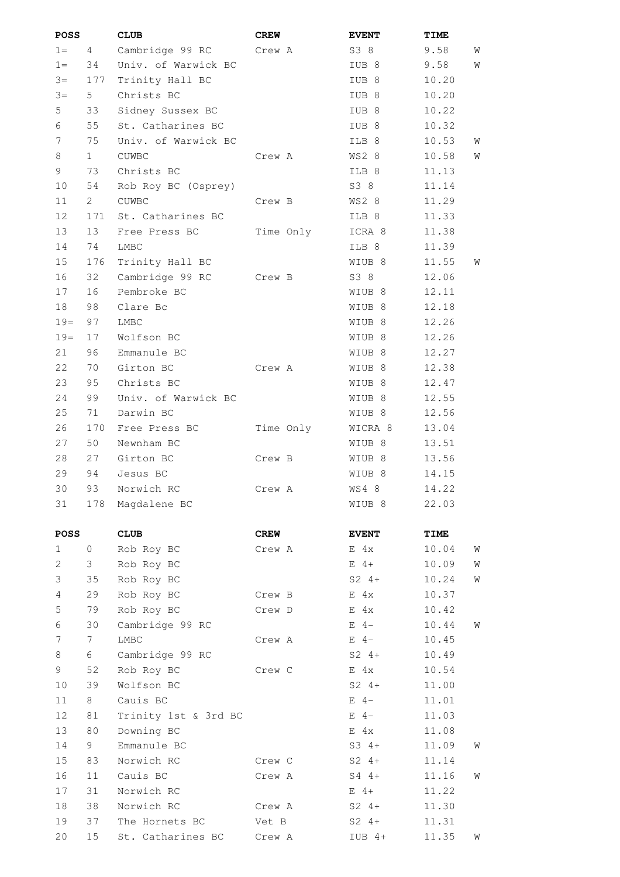| POSS        |             | <b>CLUB</b>          | <b>CREW</b> | <b>EVENT</b>      | TIME  |   |
|-------------|-------------|----------------------|-------------|-------------------|-------|---|
| $1 =$       | 4           | Cambridge 99 RC      | Crew A      | S3 8              | 9.58  | W |
| $1 =$       | 34          | Univ. of Warwick BC  |             | IUB <sub>8</sub>  | 9.58  | W |
| $3 =$       | 177         | Trinity Hall BC      |             | IUB <sub>8</sub>  | 10.20 |   |
| $3 =$       | 5           | Christs BC           |             | IUB <sub>8</sub>  | 10.20 |   |
| 5           | 33          | Sidney Sussex BC     |             | IUB <sub>8</sub>  | 10.22 |   |
| 6           | 55          | St. Catharines BC    |             | IUB <sub>8</sub>  | 10.32 |   |
| 7           | 75          | Univ. of Warwick BC  |             | ILB 8             | 10.53 | W |
| 8           | 1           | CUWBC                | Crew A      | WS2 8             | 10.58 | W |
| 9           | 73          | Christs BC           |             | ILB 8             | 11.13 |   |
| 10          | 54          | Rob Roy BC (Osprey)  |             | S3 8              | 11.14 |   |
| 11          | $2^{\circ}$ | <b>CUWBC</b>         | Crew B      | WS2 8             | 11.29 |   |
| 12          | 171         | St. Catharines BC    |             | ILB 8             | 11.33 |   |
| 13          | 13          | Free Press BC        | Time Only   | ICRA 8            | 11.38 |   |
| 14          | 74          | LMBC                 |             | ILB 8             | 11.39 |   |
| 15          | 176         | Trinity Hall BC      |             | WIUB 8            | 11.55 | W |
| 16          | 32          | Cambridge 99 RC      | Crew B      | S3 8              | 12.06 |   |
| 17          | 16          | Pembroke BC          |             | WIUB 8            | 12.11 |   |
| 18          | 98          | Clare Bc             |             | WIUB 8            | 12.18 |   |
| $19=$       | 97          | LMBC                 |             | WIUB 8            | 12.26 |   |
| $19=$       | 17          | Wolfson BC           |             | WIUB 8            | 12.26 |   |
| 21          | 96          | Emmanule BC          |             | WIUB 8            | 12.27 |   |
|             |             |                      |             |                   |       |   |
| 22          | 70          | Girton BC            | Crew A      | WIUB <sub>8</sub> | 12.38 |   |
| 23          | 95          | Christs BC           |             | WIUB 8            | 12.47 |   |
| 24          | 99          | Univ. of Warwick BC  |             | WIUB 8            | 12.55 |   |
| 25          | 71          | Darwin BC            |             | WIUB 8            | 12.56 |   |
| 26          | 170         | Free Press BC        | Time Only   | WICRA 8           | 13.04 |   |
| 27          | 50          | Newnham BC           |             | WIUB 8            | 13.51 |   |
| 28          | 27          | Girton BC            | Crew B      | WIUB 8            | 13.56 |   |
| 29          | 94          | Jesus BC             |             | WIUB 8            | 14.15 |   |
| 30          | 93          | Norwich RC           | Crew A      | WS4 8             | 14.22 |   |
| 31          | 178         | Magdalene BC         |             | WIUB 8            | 22.03 |   |
| <b>POSS</b> |             | <b>CLUB</b>          | <b>CREW</b> | <b>EVENT</b>      | TIME  |   |
| 1           | 0           | Rob Roy BC           | Crew A      | $E$ 4x            | 10.04 | W |
| 2           | 3           | Rob Roy BC           |             | $E$ 4+            | 10.09 | W |
| 3           | 35          | Rob Roy BC           |             | $S2 \t 4+$        | 10.24 | W |
| 4           | 29          | Rob Roy BC           | Crew B      | $E$ 4x            | 10.37 |   |
| 5           | 79          | Rob Roy BC           | Crew D      | $E$ 4x            | 10.42 |   |
| 6           | 30          | Cambridge 99 RC      |             | $E$ 4-            | 10.44 | W |
| 7           | 7           | LMBC                 | Crew A      | $E \quad 4-$      | 10.45 |   |
| 8           | 6           | Cambridge 99 RC      |             | $S2 \t 4+$        | 10.49 |   |
| 9           | 52          | Rob Roy BC           | Crew C      | $E$ 4x            | 10.54 |   |
| 10          | 39          | Wolfson BC           |             | $S2 \t 4+$        | 11.00 |   |
| 11          | 8           | Cauis BC             |             | $E$ 4-            | 11.01 |   |
| 12          | 81          | Trinity 1st & 3rd BC |             | $E \quad 4-$      | 11.03 |   |
| 13          | 80          | Downing BC           |             | $E$ 4x            | 11.08 |   |
| 14          | 9           | Emmanule BC          |             | $S3 \t4+$         | 11.09 | W |
| 15          | 83          | Norwich RC           | Crew C      | $S2 \t 4+$        | 11.14 |   |
| 16          | 11          | Cauis BC             | Crew A      | $S4$ 4+           | 11.16 | W |
| 17          | 31          | Norwich RC           |             | $E \quad 4+$      | 11.22 |   |
| 18          | 38          | Norwich RC           | Crew A      | $S2 \t 4+$        | 11.30 |   |
| 19          | 37          | The Hornets BC       | Vet B       | $S2 4+$           | 11.31 |   |
| 20          | 15          | St. Catharines BC    | Crew A      | $IUB 4+$          | 11.35 | W |
|             |             |                      |             |                   |       |   |